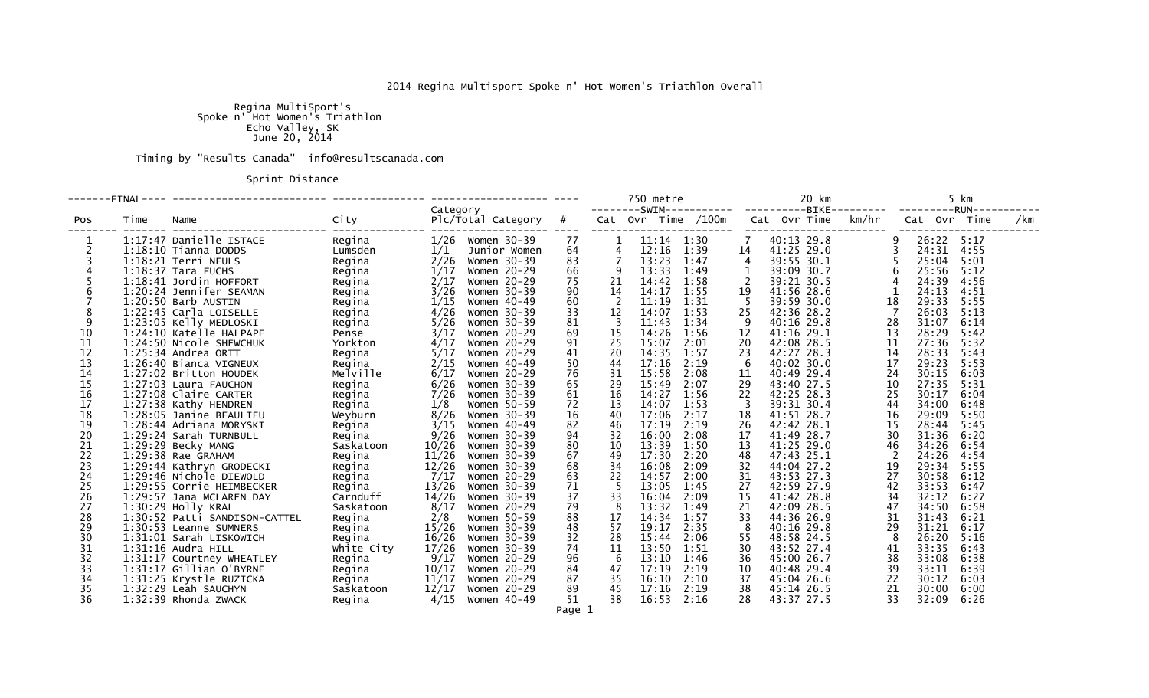## 2014\_Regina\_Multisport\_Spoke\_n'\_Hot\_Women's\_Triathlon\_Overall

Regina MultiSport's<br>Spoke n' Hot Women's Triathlon<br>Echo Valley, SK<br>June 20, 2014

Timing by "Results Canada" info@resultscanada.com

Sprint Distance

| Category |      |                               |                    |       |                        |    | 750 metre               |                |                                 | 20 km          |  | 5 km<br>--------SWIM-----------  ----------BIKE---------  ---------RUN----------- |       |              |       |              |     |
|----------|------|-------------------------------|--------------------|-------|------------------------|----|-------------------------|----------------|---------------------------------|----------------|--|-----------------------------------------------------------------------------------|-------|--------------|-------|--------------|-----|
| Pos      | Time | Name                          | City               |       | $Plc/Total$ Category # |    |                         |                | Cat Ovr Time /100m Cat Ovr Time |                |  |                                                                                   | km/hr |              |       | Cat Ovr Time | /km |
|          |      | 1:17:47 Danielle ISTACE       | Regina             | 1/26  | Women 30-39            | 77 |                         | $11:14$ $1:30$ |                                 |                |  | 40:13 29.8                                                                        |       |              |       | 26:22 5:17   |     |
|          |      | $1:18:10$ Tianna DODDS        | Lumsden            | 1/1   | Junior Women           | 64 | 4                       | 12:16          | 1:39                            | 14             |  | 41:25 29.0                                                                        |       |              | 24:31 | 4:55         |     |
|          |      | $1:18:21$ Terri NEULS         | Regina             | 2/26  | Women 30-39            | 83 | $\overline{7}$          | 13:23          | 1:47                            | $\overline{4}$ |  | 39:55 30.1                                                                        |       |              | 25:04 | 5:01         |     |
|          |      | $1:18:37$ Tara FUCHS          | Regina             | 1/17  | Women 20-29            | 66 | 9                       | 13:33          | 1:49                            | 1              |  | 39:09 30.7                                                                        |       |              | 25:56 | 5:12         |     |
|          |      | 1:18:41 Jordin HOFFORT        | Regina             | 2/17  | Women 20-29            | 75 | 21                      | 14:42          | 1:58                            | $\overline{2}$ |  | 39:21 30.5                                                                        |       |              | 24:39 | 4:56         |     |
|          |      | 1:20:24 Jennifer SEAMAN       | Regina             | 3/26  | Women 30-39            | 90 | 14                      | 14:17          | 1:55                            | 19             |  | 41:56 28.6                                                                        |       | $\mathbf{1}$ | 24:13 | 4:51         |     |
|          |      | $1:20:50$ Barb AUSTIN         | Regina             | 1/15  | Women 40-49            | 60 | - 2                     | 11:19          | 1:31                            | - 5            |  | 39:59 30.0                                                                        | 18    |              | 29:33 | 5:55         |     |
|          |      | 1:22:45 Carla LOISELLE        | Regina             | 4/26  | Women 30-39            | 33 | 12                      | 14:07          | 1:53                            | 25             |  | 42:36 28.2                                                                        |       | - 7          | 26:03 | 5:13         |     |
| 9        |      | 1:23:05 Kelly MEDLOSKI        | Regina             | 5/26  | Women 30-39            | 81 | $\overline{\mathbf{3}}$ | 11:43          | 1:34                            | -9             |  | 40:16 29.8                                                                        | 28    |              | 31:07 | 6:14         |     |
| 10       |      | 1:24:10 Katelle HALPAPE       | Pense              | 3/17  | Women 20-29            | 69 | 15                      | 14:26          | 1:56                            | 12             |  | 41:16 29.1                                                                        | 13    |              | 28:29 | 5:42         |     |
| 11       |      | 1:24:50 Nicole SHEWCHUK       | Yorkton            | 4/17  | Women 20-29            | 91 | 25                      | 15:07          | 2:01                            | 20             |  | 42:08 28.5                                                                        | 11    |              | 27:36 | 5:32         |     |
| 12       |      | $1:25:34$ Andrea ORTT         | Regina             | 5/17  | Women 20-29            | 41 | 20                      | 14:35          | 1:57                            | 23             |  | 42:27 28.3                                                                        | 14    |              | 28:33 | 5:43         |     |
| 13       |      | 1:26:40 Bianca VIGNEUX        | Regina             | 2/15  | Women 40-49            | 50 | 44                      | 17:16          | 2:19                            | -6             |  | 40:02 30.0                                                                        | 17    |              | 29:23 | 5:53         |     |
| 14       |      | 1:27:02 Britton HOUDEK        | Melville           | 6/17  | Women 20-29            | 76 | 31                      | 15:58          | 2:08                            | 11             |  | 40:49 29.4                                                                        | 24    |              | 30:15 | 6:03         |     |
| 15       |      | 1:27:03 Laura FAUCHON         | Regina             | 6/26  | Women 30-39            | 65 | 29                      | 15:49          | 2:07                            | 29             |  | 43:40 27.5                                                                        | 10    |              | 27:35 | 5:31         |     |
| 16       |      | 1:27:08 Claire CARTER         | Regina             | 7/26  | Women 30-39            | 61 | 16                      | 14:27          | 1:56                            | 22             |  | 42:25 28.3                                                                        | 25    |              | 30:17 | 6:04         |     |
| 17       |      | 1:27:38 Kathy HENDREN         | Regina             | 1/8   | Women 50-59            | 72 | 13                      | 14:07          | 1:53                            | -3             |  | 39:31 30.4                                                                        | 44    |              | 34:00 | 6:48         |     |
| 18       |      | 1:28:05 Janine BEAULIEU       | Weyburn            | 8/26  | Women 30-39            | 16 | 40                      | 17:06          | 2:17                            | 18             |  | 41:51 28.7                                                                        | 16    |              | 29:09 | 5:50         |     |
| 19       |      | 1:28:44 Adriana MORYSKI       | Regina             | 3/15  | Women 40-49            | 82 | 46                      | 17:19          | 2:19                            | 26             |  | 42:42 28.1                                                                        | 15    |              | 28:44 | 5:45         |     |
| 20       |      | 1:29:24 Sarah TURNBULL        | Regina             | 9/26  | Women 30-39            | 94 | 32                      | 16:00          | 2:08                            | 17             |  | 41:49 28.7                                                                        | 30    |              | 31:36 | 6:20         |     |
| 21       |      | 1:29:29 Becky MANG            | Saskatoon          | 10/26 | Women 30-39            | 80 | 10                      | 13:39          | 1:50                            | 13             |  | 41:25 29.0                                                                        | 46    |              | 34:26 | 6:54         |     |
| 22       |      | 1:29:38 Rae GRAHAM            | Regina             | 11/26 | Women 30-39            | 67 | 49                      | 17:30          | 2:20                            | 48             |  | 47:43 25.1                                                                        |       | 2            |       | 24:26 4:54   |     |
| 23       |      | 1:29:44 Kathryn GRODECKI      | Regina             | 12/26 | Women 30-39            | 68 | 34                      | 16:08          | 2:09                            | 32             |  | 44:04 27.2                                                                        | 19    |              | 29:34 | 5:55         |     |
| 24       |      | 1:29:46 Nichole DIEWOLD       | Regina             | 7/17  | Women 20-29            | 63 | 22                      | 14:57          | 2:00                            | 31             |  | 43:53 27.3                                                                        | 27    |              | 30:58 | 6:12         |     |
| 25       |      | 1:29:55 Corrie HEIMBECKER     |                    | 13/26 | Women 30-39            | 71 | - 5                     | 13:05          | 1:45                            | 27             |  | 42:59 27.9                                                                        | 42    |              | 33:53 | 6:47         |     |
| 26       |      | 1:29:57 Jana MCLAREN DAY      | Regina<br>Carnduff | 14/26 | Women 30-39            | 37 | 33                      | 16:04          | 2:09                            | 15             |  | 41:42 28.8                                                                        | 34    |              | 32:12 | 6:27         |     |
| 27       |      | 1:30:29 Holly KRAL            | Saskatoon          | 8/17  | Women 20-29            | 79 | - 8                     | 13:32          | 1:49                            | 21             |  | 42:09 28.5                                                                        | 47    |              | 34:50 | 6:58         |     |
| 28       |      | 1:30:52 Patti SANDISON-CATTEL | Regina             | 2/8   | Women 50-59            | 88 | 17                      | 14:34          | 1:57                            | 33             |  | 44:36 26.9                                                                        | 31    |              | 31:43 | 6:21         |     |
| 29       |      | 1:30:53 Leanne SUMNERS        | Regina             | 15/26 | Women 30-39            | 48 | 57                      | 19:17          | 2:35                            | 8              |  | 40:16 29.8                                                                        | 29    |              | 31:21 | 6:17         |     |
| 30       |      | 1:31:01 Sarah LISKOWICH       | Regina             | 16/26 | Women 30-39            | 32 | 28                      | 15:44          | 2:06                            | 55             |  | 48:58 24.5                                                                        |       | 8            | 26:20 | 5:16         |     |
| 31       |      | $1:31:16$ Audra HILL          | white City         | 17/26 | Women 30-39            | 74 | 11                      | 13:50          | 1:51                            | 30             |  | 43:52 27.4                                                                        | 41    |              | 33:35 | 6:43         |     |
| 32       |      | 1:31:17 Courtney WHEATLEY     | Regina             | 9/17  | Women 20-29            | 96 | 6                       | 13:10          | 1:46                            | 36             |  | 45:00 26.7                                                                        | 38    |              | 33:08 | 6:38         |     |
| 33       |      | 1:31:17 Gillian O'BYRNE       | Regina             | 10/17 | Women 20-29            | 84 | 47                      | 17:19          | 2:19                            | 10             |  | 40:48 29.4                                                                        | 39    |              | 33:11 | 6:39         |     |
| 34       |      | 1:31:25 Krystle RUZICKA       | Regina             | 11/17 | Women 20-29            | 87 | 35                      | 16:10          | 2:10                            | 37             |  | 45:04 26.6                                                                        | 22    |              | 30:12 | 6:03         |     |
| 35       |      | 1:32:29 Leah SAUCHYN          | Saskatoon          | 12/17 | Women 20-29            | 89 | 45                      | 17:16          | 2:19                            | 38             |  | 45:14 26.5                                                                        | 21    |              | 30:00 | 6:00         |     |
| 36       |      | $1:32:39$ Rhonda ZWACK        | Regina             | 4/15  | Women 40-49            | 51 | 38                      | $16:53$ $2:16$ |                                 | 28             |  | 43:37 27.5                                                                        | 33    |              | 32:09 | 6:26         |     |